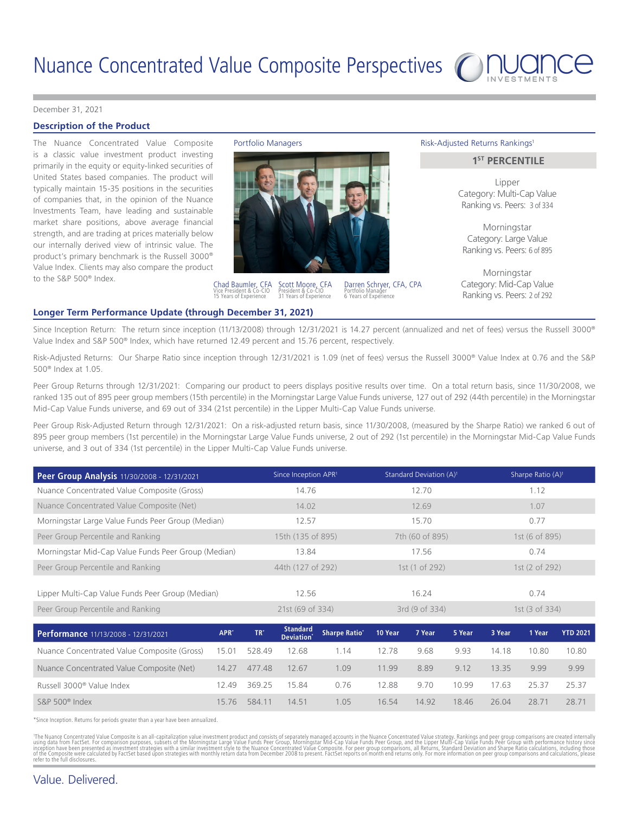

#### [December 31, 2021](DBF_DATE_EOM_FORMAL)

# **Description of the Product**

The Nuance Concentrated Value Composite Portfolio Managers The Nuance Risk-Adjusted Returns Rankings<sup>1</sup> is a classic value investment product investing primarily in the equity or equity-linked securities of United States based companies. The product will typically maintain 15-35 positions in the securities of companies that, in the opinion of the Nuance Investments Team, have leading and sustainable market share positions, above average financial strength, and are trading at prices materially below our internally derived view of intrinsic value. The product's primary benchmark is the Russell 3000® Value Index. Clients may also compare the product to the S&P 500® Index.





Chad Baumler, CFA Scott Moore, CFA President & Co-CIO [31](DBF_YRS_EXPERIENCE_INV_SCOTT) Years of Experience Vice President & Co-CIO [15](DBF_YRS_EXPERIENCE_INV_CHAD) Years of Experience

Darren Schryer, CFA, CPA Portfolio Manager [6](DBF_YRS_EXPERIENCE_NUANCE_DARREN) Years of Experience

# **1ST PERCENTILE**

Lipper Category: Multi-Cap Value Ranking vs. Peers: [3](DBF_PEER_SI_SHARPE_RANK_LIPPER_MULTI_CVC) of [334](DBF_PEER_SI_SHARPE_NUM_PEERS_LIPPER_MULTI_CVC_CVC)

Morningstar Category: Large Value Ranking vs. Peers: [6](DBF_PEER_SI_SHARPE_RANK_MSTAR_LCV_CVC) of [895](DBF_PEER_SI_SHARPE_NUM_PEERS_MSTAR_LCV_CVC)

Morningstar Category: Mid-Cap Value Ranking vs. Peers: [2](DBF_PEER_SI_SHARPE_RANK_MSTAR_MIDCV_CVC) of [292](DBF_PEER_SI_SHARPE_NUM_PEERS_MSTAR_MIDCV_MCVC)

# **Longer Term Performance Update (through [December 31, 2021\)](DBF_DATE_EOM_FORMAL)**

Since Inception Return: The return since inception (11/13/2008) through 12/31/2021 is 14.27 percent (annualized and net of fees) versus the Russell 3000® Value Index and S&P 500® Index, which have returned 12.49 percent and 15.76 percent, respectively.

Risk-Adjusted Returns: Our Sharpe Ratio since inception through 12/31/2021 is 1.09 (net of fees) versus the Russell 3000® Value Index at 0.76 and the S&P 500® Index at 1.05.

Peer Group Returns through 12/31/2021: Comparing our product to peers displays positive results over time. On a total return basis, since 11/30/2008, we ranked 135 out of 895 peer group members (15th percentile) in the Morningstar Large Value Funds universe, 127 out of 292 (44th percentile) in the Morningstar Mid-Cap Value Funds universe, and 69 out of 334 (21st percentile) in the Lipper Multi-Cap Value Funds universe.

Peer Group Risk-Adjusted Return through 12/31/2021: On a risk-adjusted return basis, since 11/30/2008, (measured by the Sharpe Ratio) we ranked 6 out of 895 peer group members (1st percentile) in the Morningstar Large Value Funds universe, 2 out of 292 (1st percentile) in the Morningstar Mid-Cap Value Funds universe, and 3 out of 334 (1st percentile) in the Lipper Multi-Cap Value Funds universe.

| Peer Group Analysis 11/30/2008 - 12/31/2021         | Since Inception APR <sup>1</sup> | Standard Deviation (A) <sup>1</sup> | Sharpe Ratio (A) <sup>1</sup> |
|-----------------------------------------------------|----------------------------------|-------------------------------------|-------------------------------|
| Nuance Concentrated Value Composite (Gross)         | 14.76                            | 12.70                               | 1.12                          |
| Nuance Concentrated Value Composite (Net)           | 14.02                            | 12.69                               | 1.07                          |
| Morningstar Large Value Funds Peer Group (Median)   | 12.57                            | 15.70                               | 0.77                          |
| Peer Group Percentile and Ranking                   | 15th (135 of 895)                | 7th (60 of 895)                     | 1st (6 of 895)                |
| Morningstar Mid-Cap Value Funds Peer Group (Median) | 13.84                            | 17.56                               | 0.74                          |
| Peer Group Percentile and Ranking                   | 44th (127 of 292)                | 1st (1 of 292)                      | 1st (2 of 292)                |
|                                                     |                                  |                                     |                               |
| Lipper Multi-Cap Value Funds Peer Group (Median)    | 12.56                            | 16.24                               | 0.74                          |
| Peer Group Percentile and Ranking                   | 21st (69 of 334)                 | 3rd (9 of 334)                      | 1st (3 of 334)                |

| Performance 11/13/2008 - 12/31/2021         | APR'  | TR'    | <b>Standard</b><br>Deviation <sup>*</sup> | <b>Sharpe Ratio*</b> | 10 Year | 7 Year | 5 Year | 3 Year | 1 Year | <b>YTD 2021</b> |
|---------------------------------------------|-------|--------|-------------------------------------------|----------------------|---------|--------|--------|--------|--------|-----------------|
| Nuance Concentrated Value Composite (Gross) | 15.01 | 528.49 | 12.68                                     | 1.14                 | 12.78   | 9.68   | 9.93   | 14.18  | 10.80  | 10.80           |
| Nuance Concentrated Value Composite (Net)   | 14.27 | 477.48 | 12.67                                     | 1.09                 | 11.99   | 8.89   | 9.12   | 1335   | 999    | 9.99            |
| Russell 3000 <sup>®</sup> Value Index       | 1249  | 369.25 | 1584                                      | 0.76                 | 12.88   | 9.70   | 10.99  | 17.63  | 25.37  | 25.37           |
| S&P 500 <sup>®</sup> Index                  | 1576  | 584.11 | 14 51                                     | 1.05                 | 16.54   | 14.92  | 18.46  | 26.04  | 28.71  | 2871            |

\*Since Inception. Returns for periods greater than a year have been annualized.

'The Nuance Concentrated Value Composite is an all-capitalization value investment product and consists of separately managed accounts in the Nuance Concentrated Value Concentrated Value Funds Peer Group with performance h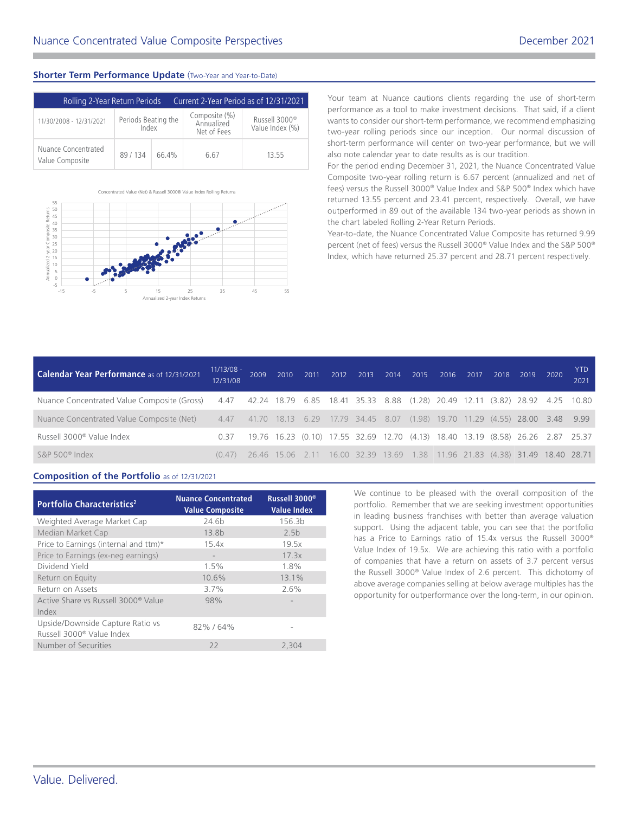# **Shorter Term Performance Update** (Two-Year and Year-to-Date)

| Current 2-Year Period as of $12/31/2021$<br>Rolling 2-Year Return Periods |                              |       |                                            |                                              |  |  |  |  |  |
|---------------------------------------------------------------------------|------------------------------|-------|--------------------------------------------|----------------------------------------------|--|--|--|--|--|
| 11/30/2008 - 12/31/2021                                                   | Periods Beating the<br>Index |       | Composite (%)<br>Annualized<br>Net of Fees | Russell 3000 <sup>®</sup><br>Value Index (%) |  |  |  |  |  |
| Nuance Concentrated<br>Value Composite                                    | 89/134                       | 66.4% | 6.67                                       | 13.55                                        |  |  |  |  |  |



Your team at Nuance cautions clients regarding the use of short-term performance as a tool to make investment decisions. That said, if a client wants to consider our short-term performance, we recommend emphasizing two-year rolling periods since our inception. Our normal discussion of short-term performance will center on two-year performance, but we will also note calendar year to date results as is our tradition.

For the period ending December 31, 2021, the Nuance Concentrated Value Composite two-year rolling return is 6.67 percent (annualized and net of fees) versus the Russell 3000® Value Index and S&P 500® Index which have returned 13.55 percent and 23.41 percent, respectively. Overall, we have outperformed in 89 out of the available 134 two-year periods as shown in the chart labeled Rolling 2-Year Return Periods.

Year-to-date, the Nuance Concentrated Value Composite has returned 9.99 percent (net of fees) versus the Russell 3000® Value Index and the S&P 500® Index, which have returned 25.37 percent and 28.71 percent respectively.

| Nuance Concentrated Value Composite (Gross) 4.47 42.24 18.79 6.85 18.41 35.33 8.88 (1.28) 20.49 12.11 (3.82) 28.92 4.25 10.80 |
|-------------------------------------------------------------------------------------------------------------------------------|
| 4.47 41.70 18.13 6.29 17.79 34.45 8.07 (1.98) 19.70 11.29 (4.55) 28.00 3.48 9.99                                              |
| 19.76 16.23 (0.10) 17.55 32.69 12.70 (4.13) 18.40 13.19 (8.58) 26.26 2.87 25.37                                               |
| 26.46 15.06 2.11 16.00 32.39 13.69 1.38 11.96 21.83 (4.38) 31.49 18.40 28.71                                                  |
|                                                                                                                               |

# **Composition of the Portfolio** as of [12/31/2021](DBF_DATE_EOM_SHORT)

| <b>Portfolio Characteristics<sup>2</sup></b>                              | <b>Nuance Concentrated</b><br><b>Value Composite</b> | Russell 3000 <sup>®</sup><br><b>Value Index</b> |
|---------------------------------------------------------------------------|------------------------------------------------------|-------------------------------------------------|
| Weighted Average Market Cap                                               | 24.6 <sub>b</sub>                                    | 156.3 <sub>b</sub>                              |
| Median Market Cap                                                         | 13.8 <sub>b</sub>                                    | 2.5 <sub>b</sub>                                |
| Price to Earnings (internal and ttm)*                                     | 15.4x                                                | 19.5x                                           |
| Price to Earnings (ex-neg earnings)                                       | $\qquad \qquad$                                      | 17.3x                                           |
| Dividend Yield                                                            | 1.5%                                                 | 1.8%                                            |
| Return on Equity                                                          | 10.6%                                                | 13.1%                                           |
| Return on Assets                                                          | 3.7%                                                 | 2.6%                                            |
| Active Share vs Russell 3000 <sup>®</sup> Value<br>Index                  | 98%                                                  |                                                 |
| Upside/Downside Capture Ratio vs<br>Russell 3000 <sup>®</sup> Value Index | $82\%$ / 64%                                         |                                                 |
| Number of Securities                                                      | 22                                                   | 2.304                                           |

We continue to be pleased with the overall composition of the portfolio. Remember that we are seeking investment opportunities in leading business franchises with better than average valuation support. Using the adjacent table, you can see that the portfolio has a Price to Earnings ratio of 15.4x versus the Russell 3000® Value Index of 19.5x. We are achieving this ratio with a portfolio of companies that have a return on assets of 3.7 percent versus the Russell 3000® Value Index of 2.6 percent. This dichotomy of above average companies selling at below average multiples has the opportunity for outperformance over the long-term, in our opinion.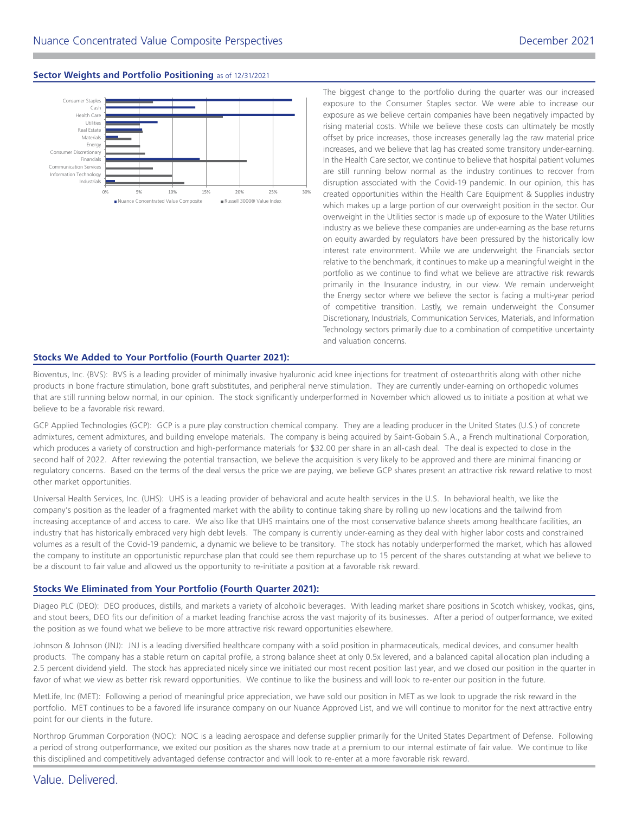# **Sector Weights and Portfolio Positioning** as of [12/31/2021](DBF_DATE_EOQ_SHORT)



The biggest change to the portfolio during the quarter was our increased exposure to the Consumer Staples sector. We were able to increase our exposure as we believe certain companies have been negatively impacted by rising material costs. While we believe these costs can ultimately be mostly offset by price increases, those increases generally lag the raw material price increases, and we believe that lag has created some transitory under-earning. In the Health Care sector, we continue to believe that hospital patient volumes are still running below normal as the industry continues to recover from disruption associated with the Covid-19 pandemic. In our opinion, this has created opportunities within the Health Care Equipment & Supplies industry which makes up a large portion of our overweight position in the sector. Our overweight in the Utilities sector is made up of exposure to the Water Utilities industry as we believe these companies are under-earning as the base returns on equity awarded by regulators have been pressured by the historically low interest rate environment. While we are underweight the Financials sector relative to the benchmark, it continues to make up a meaningful weight in the portfolio as we continue to find what we believe are attractive risk rewards primarily in the Insurance industry, in our view. We remain underweight the Energy sector where we believe the sector is facing a multi-year period of competitive transition. Lastly, we remain underweight the Consumer Discretionary, Industrials, Communication Services, Materials, and Information Technology sectors primarily due to a combination of competitive uncertainty and valuation concerns.

# **Stocks We Added to Your Portfolio ([Fourth Quarter 2021](DBF_DATE_EOQ_QTR_YR)):**

Bioventus, Inc. (BVS): BVS is a leading provider of minimally invasive hyaluronic acid knee injections for treatment of osteoarthritis along with other niche products in bone fracture stimulation, bone graft substitutes, and peripheral nerve stimulation. They are currently under-earning on orthopedic volumes that are still running below normal, in our opinion. The stock significantly underperformed in November which allowed us to initiate a position at what we believe to be a favorable risk reward.

GCP Applied Technologies (GCP): GCP is a pure play construction chemical company. They are a leading producer in the United States (U.S.) of concrete admixtures, cement admixtures, and building envelope materials. The company is being acquired by Saint-Gobain S.A., a French multinational Corporation, which produces a variety of construction and high-performance materials for \$32.00 per share in an all-cash deal. The deal is expected to close in the second half of 2022. After reviewing the potential transaction, we believe the acquisition is very likely to be approved and there are minimal financing or regulatory concerns. Based on the terms of the deal versus the price we are paying, we believe GCP shares present an attractive risk reward relative to most other market opportunities.

Universal Health Services, Inc. (UHS): UHS is a leading provider of behavioral and acute health services in the U.S. In behavioral health, we like the company's position as the leader of a fragmented market with the ability to continue taking share by rolling up new locations and the tailwind from increasing acceptance of and access to care. We also like that UHS maintains one of the most conservative balance sheets among healthcare facilities, an industry that has historically embraced very high debt levels. The company is currently under-earning as they deal with higher labor costs and constrained volumes as a result of the Covid-19 pandemic, a dynamic we believe to be transitory. The stock has notably underperformed the market, which has allowed the company to institute an opportunistic repurchase plan that could see them repurchase up to 15 percent of the shares outstanding at what we believe to be a discount to fair value and allowed us the opportunity to re-initiate a position at a favorable risk reward.

# **Stocks We Eliminated from Your Portfolio [\(Fourth Quarter 2021](DBF_DATE_EOQ_QTR_YR)):**

Diageo PLC (DEO): DEO produces, distills, and markets a variety of alcoholic beverages. With leading market share positions in Scotch whiskey, vodkas, gins, and stout beers, DEO fits our definition of a market leading franchise across the vast majority of its businesses. After a period of outperformance, we exited the position as we found what we believe to be more attractive risk reward opportunities elsewhere.

Johnson & Johnson (JNJ): JNJ is a leading diversified healthcare company with a solid position in pharmaceuticals, medical devices, and consumer health products. The company has a stable return on capital profile, a strong balance sheet at only 0.5x levered, and a balanced capital allocation plan including a 2.5 percent dividend yield. The stock has appreciated nicely since we initiated our most recent position last year, and we closed our position in the quarter in favor of what we view as better risk reward opportunities. We continue to like the business and will look to re-enter our position in the future.

MetLife, Inc (MET): Following a period of meaningful price appreciation, we have sold our position in MET as we look to upgrade the risk reward in the portfolio. MET continues to be a favored life insurance company on our Nuance Approved List, and we will continue to monitor for the next attractive entry point for our clients in the future.

Northrop Grumman Corporation (NOC): NOC is a leading aerospace and defense supplier primarily for the United States Department of Defense. Following a period of strong outperformance, we exited our position as the shares now trade at a premium to our internal estimate of fair value. We continue to like this disciplined and competitively advantaged defense contractor and will look to re-enter at a more favorable risk reward.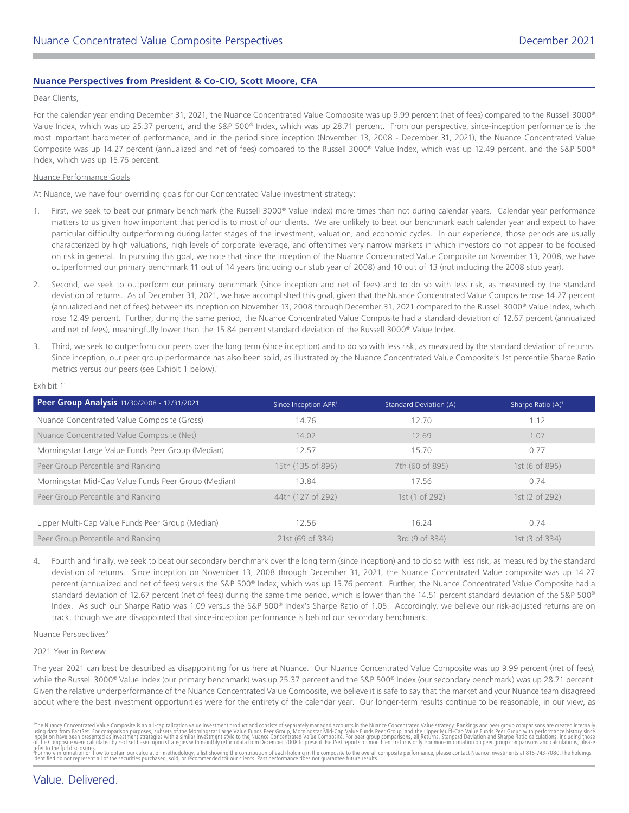# **Nuance Perspectives from President & Co-CIO, Scott Moore, CFA**

#### Dear Clients,

For the calendar year ending December 31, 2021, the Nuance Concentrated Value Composite was up 9.99 percent (net of fees) compared to the Russell 3000® Value Index, which was up 25.37 percent, and the S&P 500® Index, which was up 28.71 percent. From our perspective, since-inception performance is the most important barometer of performance, and in the period since inception (November 13, 2008 - December 31, 2021), the Nuance Concentrated Value Composite was up 14.27 percent (annualized and net of fees) compared to the Russell 3000® Value Index, which was up 12.49 percent, and the S&P 500® Index, which was up 15.76 percent.

#### Nuance Performance Goals

At Nuance, we have four overriding goals for our Concentrated Value investment strategy:

- 1. First, we seek to beat our primary benchmark (the Russell 3000® Value Index) more times than not during calendar years. Calendar year performance matters to us given how important that period is to most of our clients. We are unlikely to beat our benchmark each calendar year and expect to have particular difficulty outperforming during latter stages of the investment, valuation, and economic cycles. In our experience, those periods are usually characterized by high valuations, high levels of corporate leverage, and oftentimes very narrow markets in which investors do not appear to be focused on risk in general. In pursuing this goal, we note that since the inception of the Nuance Concentrated Value Composite on November 13, 2008, we have outperformed our primary benchmark 11 out of 14 years (including our stub year of 2008) and 10 out of 13 (not including the 2008 stub year).
- 2. Second, we seek to outperform our primary benchmark (since inception and net of fees) and to do so with less risk, as measured by the standard deviation of returns. As of December 31, 2021, we have accomplished this goal, given that the Nuance Concentrated Value Composite rose 14.27 percent (annualized and net of fees) between its inception on November 13, 2008 through December 31, 2021 compared to the Russell 3000® Value Index, which rose 12.49 percent. Further, during the same period, the Nuance Concentrated Value Composite had a standard deviation of 12.67 percent (annualized and net of fees), meaningfully lower than the 15.84 percent standard deviation of the Russell 3000® Value Index.
- 3. Third, we seek to outperform our peers over the long term (since inception) and to do so with less risk, as measured by the standard deviation of returns. Since inception, our peer group performance has also been solid, as illustrated by the Nuance Concentrated Value Composite's 1st percentile Sharpe Ratio metrics versus our peers (see Exhibit 1 below).<sup>1</sup>

#### Exhibit 11

| Peer Group Analysis 11/30/2008 - 12/31/2021         | Since Inception APR <sup>1</sup> | Standard Deviation (A) <sup>1</sup> | Sharpe Ratio (A) <sup>1</sup> |
|-----------------------------------------------------|----------------------------------|-------------------------------------|-------------------------------|
| Nuance Concentrated Value Composite (Gross)         | 14.76                            | 12.70                               | 1.12                          |
| Nuance Concentrated Value Composite (Net)           | 14.02                            | 12.69                               | 1.07                          |
| Morningstar Large Value Funds Peer Group (Median)   | 12.57                            | 15.70                               | 0.77                          |
| Peer Group Percentile and Ranking                   | 15th (135 of 895)                | 7th (60 of 895)                     | 1st (6 of 895)                |
| Morningstar Mid-Cap Value Funds Peer Group (Median) | 13.84                            | 17.56                               | 0.74                          |
| Peer Group Percentile and Ranking                   | 44th (127 of 292)                | 1st (1 of 292)                      | 1st (2 of 292)                |
|                                                     |                                  |                                     |                               |
| Lipper Multi-Cap Value Funds Peer Group (Median)    | 12.56                            | 16.24                               | 0.74                          |
| Peer Group Percentile and Ranking                   | 21st (69 of 334)                 | 3rd (9 of 334)                      | 1st (3 of 334)                |

4. Fourth and finally, we seek to beat our secondary benchmark over the long term (since inception) and to do so with less risk, as measured by the standard deviation of returns. Since inception on November 13, 2008 through December 31, 2021, the Nuance Concentrated Value composite was up 14.27 percent (annualized and net of fees) versus the S&P 500® Index, which was up 15.76 percent. Further, the Nuance Concentrated Value Composite had a standard deviation of 12.67 percent (net of fees) during the same time period, which is lower than the 14.51 percent standard deviation of the S&P 500® Index. As such our Sharpe Ratio was 1.09 versus the S&P 500® Index's Sharpe Ratio of 1.05. Accordingly, we believe our risk-adjusted returns are on track, though we are disappointed that since-inception performance is behind our secondary benchmark.

#### Nuance Perspectives<sup>2</sup>

#### 2021 Year in Review

The year 2021 can best be described as disappointing for us here at Nuance. Our Nuance Concentrated Value Composite was up 9.99 percent (net of fees), while the Russell 3000<sup>®</sup> Value Index (our primary benchmark) was up 25.37 percent and the S&P 500<sup>®</sup> Index (our secondary benchmark) was up 28.71 percent. Given the relative underperformance of the Nuance Concentrated Value Composite, we believe it is safe to say that the market and your Nuance team disagreed about where the best investment opportunities were for the entirety of the calendar year. Our longer-term results continue to be reasonable, in our view, as

'The Nuance Concentrated Value Composite is an all-capitalization value investment product and consists of separately managed accounts in the Nuance Concentrated Value strategy. Rankings and peer group comparisons are crea refer to the full disclosures.<br>"For more information on how to obtain our calculation methodology, a list showing the contribution of each holding in the composite to the overall composite performance, please contact Nuanc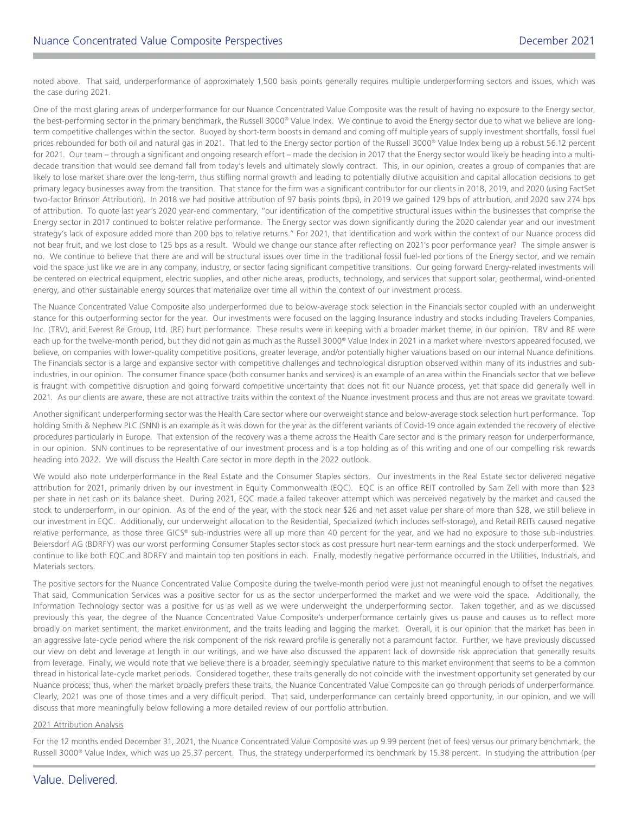noted above. That said, underperformance of approximately 1,500 basis points generally requires multiple underperforming sectors and issues, which was the case during 2021.

One of the most glaring areas of underperformance for our Nuance Concentrated Value Composite was the result of having no exposure to the Energy sector, the best-performing sector in the primary benchmark, the Russell 3000® Value Index. We continue to avoid the Energy sector due to what we believe are longterm competitive challenges within the sector. Buoyed by short-term boosts in demand and coming off multiple years of supply investment shortfalls, fossil fuel prices rebounded for both oil and natural gas in 2021. That led to the Energy sector portion of the Russell 3000<sup>®</sup> Value Index being up a robust 56.12 percent for 2021. Our team – through a significant and ongoing research effort – made the decision in 2017 that the Energy sector would likely be heading into a multidecade transition that would see demand fall from today's levels and ultimately slowly contract. This, in our opinion, creates a group of companies that are likely to lose market share over the long-term, thus stifling normal growth and leading to potentially dilutive acquisition and capital allocation decisions to get primary legacy businesses away from the transition. That stance for the firm was a significant contributor for our clients in 2018, 2019, and 2020 (using FactSet two-factor Brinson Attribution). In 2018 we had positive attribution of 97 basis points (bps), in 2019 we gained 129 bps of attribution, and 2020 saw 274 bps of attribution. To quote last year's 2020 year-end commentary, "our identification of the competitive structural issues within the businesses that comprise the Energy sector in 2017 continued to bolster relative performance. The Energy sector was down significantly during the 2020 calendar year and our investment strategy's lack of exposure added more than 200 bps to relative returns." For 2021, that identification and work within the context of our Nuance process did not bear fruit, and we lost close to 125 bps as a result. Would we change our stance after reflecting on 2021's poor performance year? The simple answer is no. We continue to believe that there are and will be structural issues over time in the traditional fossil fuel-led portions of the Energy sector, and we remain void the space just like we are in any company, industry, or sector facing significant competitive transitions. Our going forward Energy-related investments will be centered on electrical equipment, electric supplies, and other niche areas, products, technology, and services that support solar, geothermal, wind-oriented energy, and other sustainable energy sources that materialize over time all within the context of our investment process.

The Nuance Concentrated Value Composite also underperformed due to below-average stock selection in the Financials sector coupled with an underweight stance for this outperforming sector for the year. Our investments were focused on the lagging Insurance industry and stocks including Travelers Companies, Inc. (TRV), and Everest Re Group, Ltd. (RE) hurt performance. These results were in keeping with a broader market theme, in our opinion. TRV and RE were each up for the twelve-month period, but they did not gain as much as the Russell 3000® Value Index in 2021 in a market where investors appeared focused, we believe, on companies with lower-quality competitive positions, greater leverage, and/or potentially higher valuations based on our internal Nuance definitions. The Financials sector is a large and expansive sector with competitive challenges and technological disruption observed within many of its industries and subindustries, in our opinion. The consumer finance space (both consumer banks and services) is an example of an area within the Financials sector that we believe is fraught with competitive disruption and going forward competitive uncertainty that does not fit our Nuance process, yet that space did generally well in 2021. As our clients are aware, these are not attractive traits within the context of the Nuance investment process and thus are not areas we gravitate toward.

Another significant underperforming sector was the Health Care sector where our overweight stance and below-average stock selection hurt performance. Top holding Smith & Nephew PLC (SNN) is an example as it was down for the year as the different variants of Covid-19 once again extended the recovery of elective procedures particularly in Europe. That extension of the recovery was a theme across the Health Care sector and is the primary reason for underperformance, in our opinion. SNN continues to be representative of our investment process and is a top holding as of this writing and one of our compelling risk rewards heading into 2022. We will discuss the Health Care sector in more depth in the 2022 outlook.

We would also note underperformance in the Real Estate and the Consumer Staples sectors. Our investments in the Real Estate sector delivered negative attribution for 2021, primarily driven by our investment in Equity Commonwealth (EQC). EQC is an office REIT controlled by Sam Zell with more than \$23 per share in net cash on its balance sheet. During 2021, EQC made a failed takeover attempt which was perceived negatively by the market and caused the stock to underperform, in our opinion. As of the end of the year, with the stock near \$26 and net asset value per share of more than \$28, we still believe in our investment in EQC. Additionally, our underweight allocation to the Residential, Specialized (which includes self-storage), and Retail REITs caused negative relative performance, as those three GICS® sub-industries were all up more than 40 percent for the year, and we had no exposure to those sub-industries. Beiersdorf AG (BDRFY) was our worst performing Consumer Staples sector stock as cost pressure hurt near-term earnings and the stock underperformed. We continue to like both EQC and BDRFY and maintain top ten positions in each. Finally, modestly negative performance occurred in the Utilities, Industrials, and Materials sectors.

The positive sectors for the Nuance Concentrated Value Composite during the twelve-month period were just not meaningful enough to offset the negatives. That said, Communication Services was a positive sector for us as the sector underperformed the market and we were void the space. Additionally, the Information Technology sector was a positive for us as well as we were underweight the underperforming sector. Taken together, and as we discussed previously this year, the degree of the Nuance Concentrated Value Composite's underperformance certainly gives us pause and causes us to reflect more broadly on market sentiment, the market environment, and the traits leading and lagging the market. Overall, it is our opinion that the market has been in an aggressive late-cycle period where the risk component of the risk reward profile is generally not a paramount factor. Further, we have previously discussed our view on debt and leverage at length in our writings, and we have also discussed the apparent lack of downside risk appreciation that generally results from leverage. Finally, we would note that we believe there is a broader, seemingly speculative nature to this market environment that seems to be a common thread in historical late-cycle market periods. Considered together, these traits generally do not coincide with the investment opportunity set generated by our Nuance process; thus, when the market broadly prefers these traits, the Nuance Concentrated Value Composite can go through periods of underperformance. Clearly, 2021 was one of those times and a very difficult period. That said, underperformance can certainly breed opportunity, in our opinion, and we will discuss that more meaningfully below following a more detailed review of our portfolio attribution.

# 2021 Attribution Analysis

For the 12 months ended December 31, 2021, the Nuance Concentrated Value Composite was up 9.99 percent (net of fees) versus our primary benchmark, the Russell 3000® Value Index, which was up 25.37 percent. Thus, the strategy underperformed its benchmark by 15.38 percent. In studying the attribution (per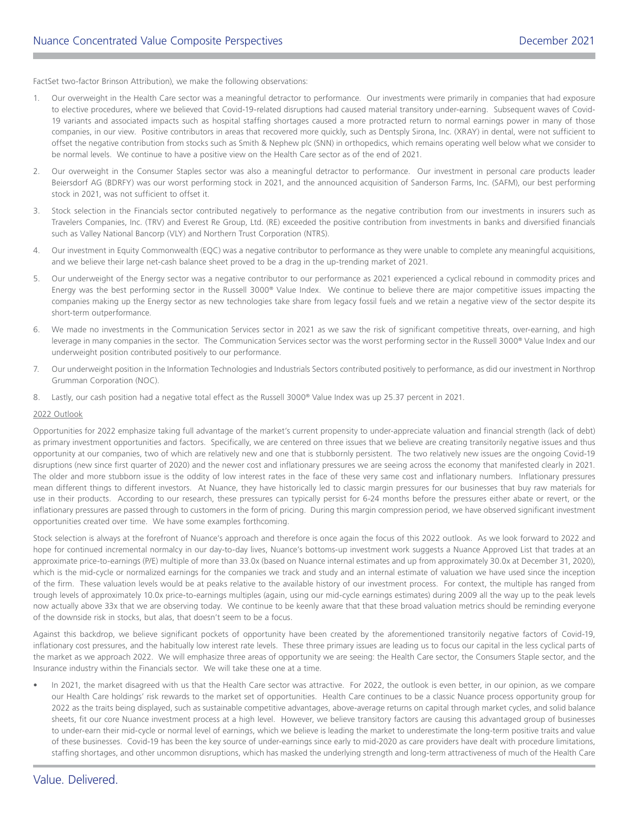FactSet two-factor Brinson Attribution), we make the following observations:

- 1. Our overweight in the Health Care sector was a meaningful detractor to performance. Our investments were primarily in companies that had exposure to elective procedures, where we believed that Covid-19-related disruptions had caused material transitory under-earning. Subsequent waves of Covid-19 variants and associated impacts such as hospital staffing shortages caused a more protracted return to normal earnings power in many of those companies, in our view. Positive contributors in areas that recovered more quickly, such as Dentsply Sirona, Inc. (XRAY) in dental, were not sufficient to offset the negative contribution from stocks such as Smith & Nephew plc (SNN) in orthopedics, which remains operating well below what we consider to be normal levels. We continue to have a positive view on the Health Care sector as of the end of 2021.
- 2. Our overweight in the Consumer Staples sector was also a meaningful detractor to performance. Our investment in personal care products leader Beiersdorf AG (BDRFY) was our worst performing stock in 2021, and the announced acquisition of Sanderson Farms, Inc. (SAFM), our best performing stock in 2021, was not sufficient to offset it.
- 3. Stock selection in the Financials sector contributed negatively to performance as the negative contribution from our investments in insurers such as Travelers Companies, Inc. (TRV) and Everest Re Group, Ltd. (RE) exceeded the positive contribution from investments in banks and diversified financials such as Valley National Bancorp (VLY) and Northern Trust Corporation (NTRS).
- 4. Our investment in Equity Commonwealth (EQC) was a negative contributor to performance as they were unable to complete any meaningful acquisitions, and we believe their large net-cash balance sheet proved to be a drag in the up-trending market of 2021.
- 5. Our underweight of the Energy sector was a negative contributor to our performance as 2021 experienced a cyclical rebound in commodity prices and Energy was the best performing sector in the Russell 3000® Value Index. We continue to believe there are major competitive issues impacting the companies making up the Energy sector as new technologies take share from legacy fossil fuels and we retain a negative view of the sector despite its short-term outperformance.
- 6. We made no investments in the Communication Services sector in 2021 as we saw the risk of significant competitive threats, over-earning, and high leverage in many companies in the sector. The Communication Services sector was the worst performing sector in the Russell 3000® Value Index and our underweight position contributed positively to our performance.
- 7. Our underweight position in the Information Technologies and Industrials Sectors contributed positively to performance, as did our investment in Northrop Grumman Corporation (NOC).
- 8. Lastly, our cash position had a negative total effect as the Russell 3000® Value Index was up 25.37 percent in 2021.

# 2022 Outlook

Opportunities for 2022 emphasize taking full advantage of the market's current propensity to under-appreciate valuation and financial strength (lack of debt) as primary investment opportunities and factors. Specifically, we are centered on three issues that we believe are creating transitorily negative issues and thus opportunity at our companies, two of which are relatively new and one that is stubbornly persistent. The two relatively new issues are the ongoing Covid-19 disruptions (new since first quarter of 2020) and the newer cost and inflationary pressures we are seeing across the economy that manifested clearly in 2021. The older and more stubborn issue is the oddity of low interest rates in the face of these very same cost and inflationary numbers. Inflationary pressures mean different things to different investors. At Nuance, they have historically led to classic margin pressures for our businesses that buy raw materials for use in their products. According to our research, these pressures can typically persist for 6-24 months before the pressures either abate or revert, or the inflationary pressures are passed through to customers in the form of pricing. During this margin compression period, we have observed significant investment opportunities created over time. We have some examples forthcoming.

Stock selection is always at the forefront of Nuance's approach and therefore is once again the focus of this 2022 outlook. As we look forward to 2022 and hope for continued incremental normalcy in our day-to-day lives, Nuance's bottoms-up investment work suggests a Nuance Approved List that trades at an approximate price-to-earnings (P/E) multiple of more than 33.0x (based on Nuance internal estimates and up from approximately 30.0x at December 31, 2020), which is the mid-cycle or normalized earnings for the companies we track and study and an internal estimate of valuation we have used since the inception of the firm. These valuation levels would be at peaks relative to the available history of our investment process. For context, the multiple has ranged from trough levels of approximately 10.0x price-to-earnings multiples (again, using our mid-cycle earnings estimates) during 2009 all the way up to the peak levels now actually above 33x that we are observing today. We continue to be keenly aware that that these broad valuation metrics should be reminding everyone of the downside risk in stocks, but alas, that doesn't seem to be a focus.

Against this backdrop, we believe significant pockets of opportunity have been created by the aforementioned transitorily negative factors of Covid-19, inflationary cost pressures, and the habitually low interest rate levels. These three primary issues are leading us to focus our capital in the less cyclical parts of the market as we approach 2022. We will emphasize three areas of opportunity we are seeing: the Health Care sector, the Consumers Staple sector, and the Insurance industry within the Financials sector. We will take these one at a time.

In 2021, the market disagreed with us that the Health Care sector was attractive. For 2022, the outlook is even better, in our opinion, as we compare our Health Care holdings' risk rewards to the market set of opportunities. Health Care continues to be a classic Nuance process opportunity group for 2022 as the traits being displayed, such as sustainable competitive advantages, above-average returns on capital through market cycles, and solid balance sheets, fit our core Nuance investment process at a high level. However, we believe transitory factors are causing this advantaged group of businesses to under-earn their mid-cycle or normal level of earnings, which we believe is leading the market to underestimate the long-term positive traits and value of these businesses. Covid-19 has been the key source of under-earnings since early to mid-2020 as care providers have dealt with procedure limitations, staffing shortages, and other uncommon disruptions, which has masked the underlying strength and long-term attractiveness of much of the Health Care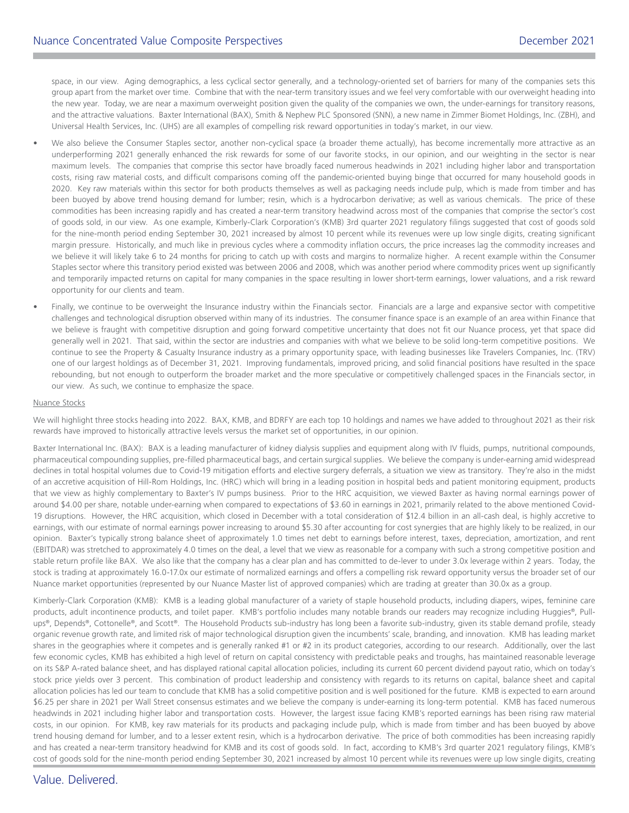space, in our view. Aging demographics, a less cyclical sector generally, and a technology-oriented set of barriers for many of the companies sets this group apart from the market over time. Combine that with the near-term transitory issues and we feel very comfortable with our overweight heading into the new year. Today, we are near a maximum overweight position given the quality of the companies we own, the under-earnings for transitory reasons, and the attractive valuations. Baxter International (BAX), Smith & Nephew PLC Sponsored (SNN), a new name in Zimmer Biomet Holdings, Inc. (ZBH), and Universal Health Services, Inc. (UHS) are all examples of compelling risk reward opportunities in today's market, in our view.

- We also believe the Consumer Staples sector, another non-cyclical space (a broader theme actually), has become incrementally more attractive as an underperforming 2021 generally enhanced the risk rewards for some of our favorite stocks, in our opinion, and our weighting in the sector is near maximum levels. The companies that comprise this sector have broadly faced numerous headwinds in 2021 including higher labor and transportation costs, rising raw material costs, and difficult comparisons coming off the pandemic-oriented buying binge that occurred for many household goods in 2020. Key raw materials within this sector for both products themselves as well as packaging needs include pulp, which is made from timber and has been buoyed by above trend housing demand for lumber; resin, which is a hydrocarbon derivative; as well as various chemicals. The price of these commodities has been increasing rapidly and has created a near-term transitory headwind across most of the companies that comprise the sector's cost of goods sold, in our view. As one example, Kimberly-Clark Corporation's (KMB) 3rd quarter 2021 regulatory filings suggested that cost of goods sold for the nine-month period ending September 30, 2021 increased by almost 10 percent while its revenues were up low single digits, creating significant margin pressure. Historically, and much like in previous cycles where a commodity inflation occurs, the price increases lag the commodity increases and we believe it will likely take 6 to 24 months for pricing to catch up with costs and margins to normalize higher. A recent example within the Consumer Staples sector where this transitory period existed was between 2006 and 2008, which was another period where commodity prices went up significantly and temporarily impacted returns on capital for many companies in the space resulting in lower short-term earnings, lower valuations, and a risk reward opportunity for our clients and team.
- Finally, we continue to be overweight the Insurance industry within the Financials sector. Financials are a large and expansive sector with competitive challenges and technological disruption observed within many of its industries. The consumer finance space is an example of an area within Finance that we believe is fraught with competitive disruption and going forward competitive uncertainty that does not fit our Nuance process, yet that space did generally well in 2021. That said, within the sector are industries and companies with what we believe to be solid long-term competitive positions. We continue to see the Property & Casualty Insurance industry as a primary opportunity space, with leading businesses like Travelers Companies, Inc. (TRV) one of our largest holdings as of December 31, 2021. Improving fundamentals, improved pricing, and solid financial positions have resulted in the space rebounding, but not enough to outperform the broader market and the more speculative or competitively challenged spaces in the Financials sector, in our view. As such, we continue to emphasize the space.

### Nuance Stocks

We will highlight three stocks heading into 2022. BAX, KMB, and BDRFY are each top 10 holdings and names we have added to throughout 2021 as their risk rewards have improved to historically attractive levels versus the market set of opportunities, in our opinion.

Baxter International Inc. (BAX): BAX is a leading manufacturer of kidney dialysis supplies and equipment along with IV fluids, pumps, nutritional compounds, pharmaceutical compounding supplies, pre-filled pharmaceutical bags, and certain surgical supplies. We believe the company is under-earning amid widespread declines in total hospital volumes due to Covid-19 mitigation efforts and elective surgery deferrals, a situation we view as transitory. They're also in the midst of an accretive acquisition of Hill-Rom Holdings, Inc. (HRC) which will bring in a leading position in hospital beds and patient monitoring equipment, products that we view as highly complementary to Baxter's IV pumps business. Prior to the HRC acquisition, we viewed Baxter as having normal earnings power of around \$4.00 per share, notable under-earning when compared to expectations of \$3.60 in earnings in 2021, primarily related to the above mentioned Covid-19 disruptions. However, the HRC acquisition, which closed in December with a total consideration of \$12.4 billion in an all-cash deal, is highly accretive to earnings, with our estimate of normal earnings power increasing to around \$5.30 after accounting for cost synergies that are highly likely to be realized, in our opinion. Baxter's typically strong balance sheet of approximately 1.0 times net debt to earnings before interest, taxes, depreciation, amortization, and rent (EBITDAR) was stretched to approximately 4.0 times on the deal, a level that we view as reasonable for a company with such a strong competitive position and stable return profile like BAX. We also like that the company has a clear plan and has committed to de-lever to under 3.0x leverage within 2 years. Today, the stock is trading at approximately 16.0-17.0x our estimate of normalized earnings and offers a compelling risk reward opportunity versus the broader set of our Nuance market opportunities (represented by our Nuance Master list of approved companies) which are trading at greater than 30.0x as a group.

Kimberly-Clark Corporation (KMB): KMB is a leading global manufacturer of a variety of staple household products, including diapers, wipes, feminine care products, adult incontinence products, and toilet paper. KMB's portfolio includes many notable brands our readers may recognize including Huggies®, Pullups®, Depends®, Cottonelle®, and Scott®. The Household Products sub-industry has long been a favorite sub-industry, given its stable demand profile, steady organic revenue growth rate, and limited risk of major technological disruption given the incumbents' scale, branding, and innovation. KMB has leading market shares in the geographies where it competes and is generally ranked #1 or #2 in its product categories, according to our research. Additionally, over the last few economic cycles, KMB has exhibited a high level of return on capital consistency with predictable peaks and troughs, has maintained reasonable leverage on its S&P A-rated balance sheet, and has displayed rational capital allocation policies, including its current 60 percent dividend payout ratio, which on today's stock price yields over 3 percent. This combination of product leadership and consistency with regards to its returns on capital, balance sheet and capital allocation policies has led our team to conclude that KMB has a solid competitive position and is well positioned for the future. KMB is expected to earn around \$6.25 per share in 2021 per Wall Street consensus estimates and we believe the company is under-earning its long-term potential. KMB has faced numerous headwinds in 2021 including higher labor and transportation costs. However, the largest issue facing KMB's reported earnings has been rising raw material costs, in our opinion. For KMB, key raw materials for its products and packaging include pulp, which is made from timber and has been buoyed by above trend housing demand for lumber, and to a lesser extent resin, which is a hydrocarbon derivative. The price of both commodities has been increasing rapidly and has created a near-term transitory headwind for KMB and its cost of goods sold. In fact, according to KMB's 3rd quarter 2021 regulatory filings, KMB's cost of goods sold for the nine-month period ending September 30, 2021 increased by almost 10 percent while its revenues were up low single digits, creating

# Value. Delivered.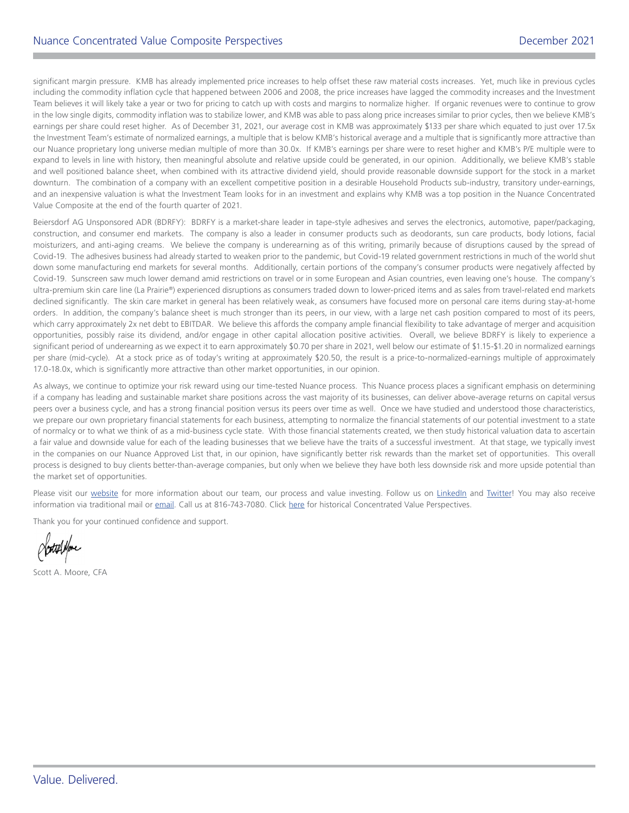significant margin pressure. KMB has already implemented price increases to help offset these raw material costs increases. Yet, much like in previous cycles including the commodity inflation cycle that happened between 2006 and 2008, the price increases have lagged the commodity increases and the Investment Team believes it will likely take a year or two for pricing to catch up with costs and margins to normalize higher. If organic revenues were to continue to grow in the low single digits, commodity inflation was to stabilize lower, and KMB was able to pass along price increases similar to prior cycles, then we believe KMB's earnings per share could reset higher. As of December 31, 2021, our average cost in KMB was approximately \$133 per share which equated to just over 17.5x the Investment Team's estimate of normalized earnings, a multiple that is below KMB's historical average and a multiple that is significantly more attractive than our Nuance proprietary long universe median multiple of more than 30.0x. If KMB's earnings per share were to reset higher and KMB's P/E multiple were to expand to levels in line with history, then meaningful absolute and relative upside could be generated, in our opinion. Additionally, we believe KMB's stable and well positioned balance sheet, when combined with its attractive dividend yield, should provide reasonable downside support for the stock in a market downturn. The combination of a company with an excellent competitive position in a desirable Household Products sub-industry, transitory under-earnings, and an inexpensive valuation is what the Investment Team looks for in an investment and explains why KMB was a top position in the Nuance Concentrated Value Composite at the end of the fourth quarter of 2021.

Beiersdorf AG Unsponsored ADR (BDRFY): BDRFY is a market-share leader in tape-style adhesives and serves the electronics, automotive, paper/packaging, construction, and consumer end markets. The company is also a leader in consumer products such as deodorants, sun care products, body lotions, facial moisturizers, and anti-aging creams. We believe the company is underearning as of this writing, primarily because of disruptions caused by the spread of Covid-19. The adhesives business had already started to weaken prior to the pandemic, but Covid-19 related government restrictions in much of the world shut down some manufacturing end markets for several months. Additionally, certain portions of the company's consumer products were negatively affected by Covid-19. Sunscreen saw much lower demand amid restrictions on travel or in some European and Asian countries, even leaving one's house. The company's ultra-premium skin care line (La Prairie®) experienced disruptions as consumers traded down to lower-priced items and as sales from travel-related end markets declined significantly. The skin care market in general has been relatively weak, as consumers have focused more on personal care items during stay-at-home orders. In addition, the company's balance sheet is much stronger than its peers, in our view, with a large net cash position compared to most of its peers, which carry approximately 2x net debt to EBITDAR. We believe this affords the company ample financial flexibility to take advantage of merger and acquisition opportunities, possibly raise its dividend, and/or engage in other capital allocation positive activities. Overall, we believe BDRFY is likely to experience a significant period of underearning as we expect it to earn approximately \$0.70 per share in 2021, well below our estimate of \$1.15-\$1.20 in normalized earnings per share (mid-cycle). At a stock price as of today's writing at approximately \$20.50, the result is a price-to-normalized-earnings multiple of approximately 17.0-18.0x, which is significantly more attractive than other market opportunities, in our opinion.

As always, we continue to optimize your risk reward using our time-tested Nuance process. This Nuance process places a significant emphasis on determining if a company has leading and sustainable market share positions across the vast majority of its businesses, can deliver above-average returns on capital versus peers over a business cycle, and has a strong financial position versus its peers over time as well. Once we have studied and understood those characteristics, we prepare our own proprietary financial statements for each business, attempting to normalize the financial statements of our potential investment to a state of normalcy or to what we think of as a mid-business cycle state. With those financial statements created, we then study historical valuation data to ascertain a fair value and downside value for each of the leading businesses that we believe have the traits of a successful investment. At that stage, we typically invest in the companies on our Nuance Approved List that, in our opinion, have significantly better risk rewards than the market set of opportunities. This overall process is designed to buy clients better-than-average companies, but only when we believe they have both less downside risk and more upside potential than the market set of opportunities.

Please visit our [website](http://nuanceinvestments.com) for more information about our team, our process and value investing. Follow us on [LinkedIn](https://www.linkedin.com/company/nuance-investments-llc) and [Twitter](https://twitter.com/NuanceInvest)! You may also receive information via traditional mail or [email](mailto:client.services%40nuanceinvestments.com?subject=). Call us at 816-743-7080. Click [here](https://www.nuanceinvestments.com/concentrated-value/commentary.php) for historical Concentrated Value Perspectives.

Thank you for your continued confidence and support.

Scott A. Moore, CFA